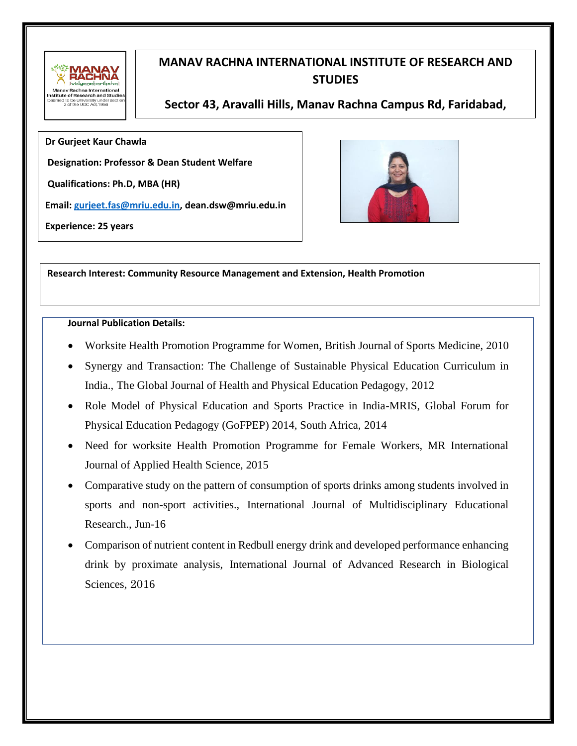

# **MANAV RACHNA INTERNATIONAL INSTITUTE OF RESEARCH AND STUDIES**

**Sector 43, Aravalli Hills, Manav Rachna Campus Rd, Faridabad, Haryana 121004**

**Dr Gurjeet Kaur Chawla** 

**Designation: Professor & Dean Student Welfare** 

**Qualifications: Ph.D, MBA (HR)**

**Email[: gurjeet.fas@mriu.edu.in,](mailto:gurjeet.fas@mriu.edu.in) dean.dsw@mriu.edu.in**

**Experience: 25 years** 



**Research Interest: Community Resource Management and Extension, Health Promotion** 

# **Journal Publication Details:**

- Worksite Health Promotion Programme for Women, British Journal of Sports Medicine, 2010
- Synergy and Transaction: The Challenge of Sustainable Physical Education Curriculum in India., The Global Journal of Health and Physical Education Pedagogy, 2012
- Role Model of Physical Education and Sports Practice in India-MRIS, Global Forum for Physical Education Pedagogy (GoFPEP) 2014, South Africa, 2014
- Need for worksite Health Promotion Programme for Female Workers, MR International Journal of Applied Health Science, 2015
- Comparative study on the pattern of consumption of sports drinks among students involved in sports and non-sport activities., International Journal of Multidisciplinary Educational Research., Jun-16
- Comparison of nutrient content in Redbull energy drink and developed performance enhancing drink by proximate analysis, International Journal of Advanced Research in Biological Sciences, 2016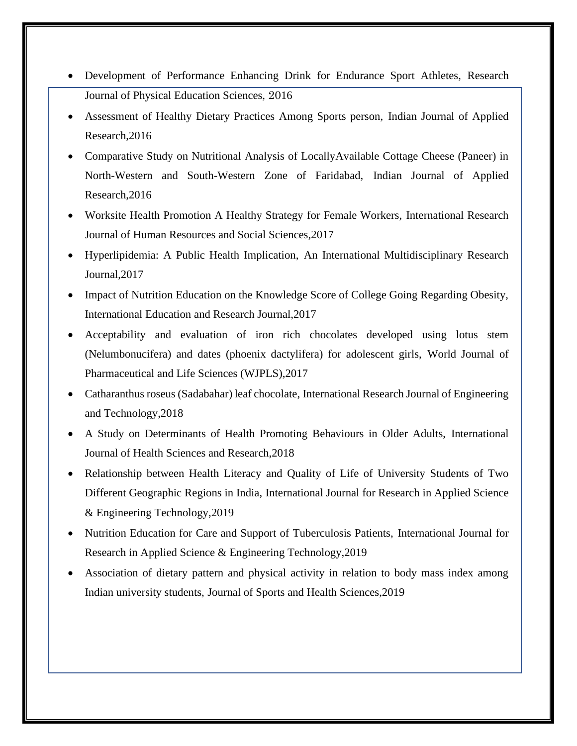- Development of Performance Enhancing Drink for Endurance Sport Athletes, Research Journal of Physical Education Sciences, 2016
- Assessment of Healthy Dietary Practices Among Sports person, Indian Journal of Applied Research,2016
- Comparative Study on Nutritional Analysis of LocallyAvailable Cottage Cheese (Paneer) in North-Western and South-Western Zone of Faridabad, Indian Journal of Applied Research,2016
- Worksite Health Promotion A Healthy Strategy for Female Workers, International Research Journal of Human Resources and Social Sciences,2017
- Hyperlipidemia: A Public Health Implication, An International Multidisciplinary Research Journal,2017
- Impact of Nutrition Education on the Knowledge Score of College Going Regarding Obesity, International Education and Research Journal,2017
- Acceptability and evaluation of iron rich chocolates developed using lotus stem (Nelumbonucifera) and dates (phoenix dactylifera) for adolescent girls, World Journal of Pharmaceutical and Life Sciences (WJPLS),2017
- Catharanthus roseus (Sadabahar) leaf chocolate, International Research Journal of Engineering and Technology,2018
- A Study on Determinants of Health Promoting Behaviours in Older Adults, International Journal of Health Sciences and Research,2018
- Relationship between Health Literacy and Quality of Life of University Students of Two Different Geographic Regions in India, International Journal for Research in Applied Science & Engineering Technology,2019
- Nutrition Education for Care and Support of Tuberculosis Patients, International Journal for Research in Applied Science & Engineering Technology,2019
- Association of dietary pattern and physical activity in relation to body mass index among Indian university students, Journal of Sports and Health Sciences,2019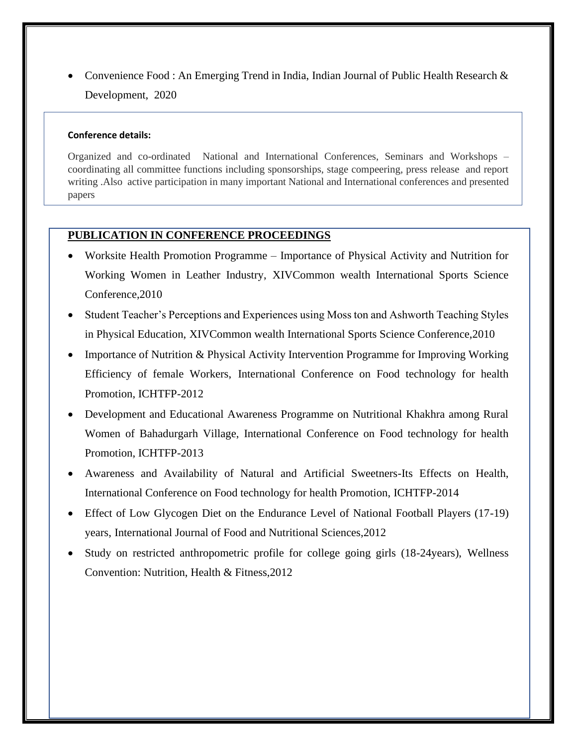• Convenience Food : An Emerging Trend in India, Indian Journal of Public Health Research & Development, 2020

# **Conference details:**

Organized and co-ordinated National and International Conferences, Seminars and Workshops – coordinating all committee functions including sponsorships, stage compeering, press release and report writing .Also active participation in many important National and International conferences and presented papers

# **PUBLICATION IN CONFERENCE PROCEEDINGS**

- Worksite Health Promotion Programme Importance of Physical Activity and Nutrition for Working Women in Leather Industry, XIVCommon wealth International Sports Science Conference,2010
- Student Teacher's Perceptions and Experiences using Moss ton and Ashworth Teaching Styles in Physical Education, XIVCommon wealth International Sports Science Conference,2010
- Importance of Nutrition & Physical Activity Intervention Programme for Improving Working Efficiency of female Workers, International Conference on Food technology for health Promotion, ICHTFP-2012
- Development and Educational Awareness Programme on Nutritional Khakhra among Rural Women of Bahadurgarh Village, International Conference on Food technology for health Promotion, ICHTFP-2013
- Awareness and Availability of Natural and Artificial Sweetners-Its Effects on Health, International Conference on Food technology for health Promotion, ICHTFP-2014
- Effect of Low Glycogen Diet on the Endurance Level of National Football Players (17-19) years, International Journal of Food and Nutritional Sciences,2012
- Study on restricted anthropometric profile for college going girls (18-24years), Wellness Convention: Nutrition, Health & Fitness,2012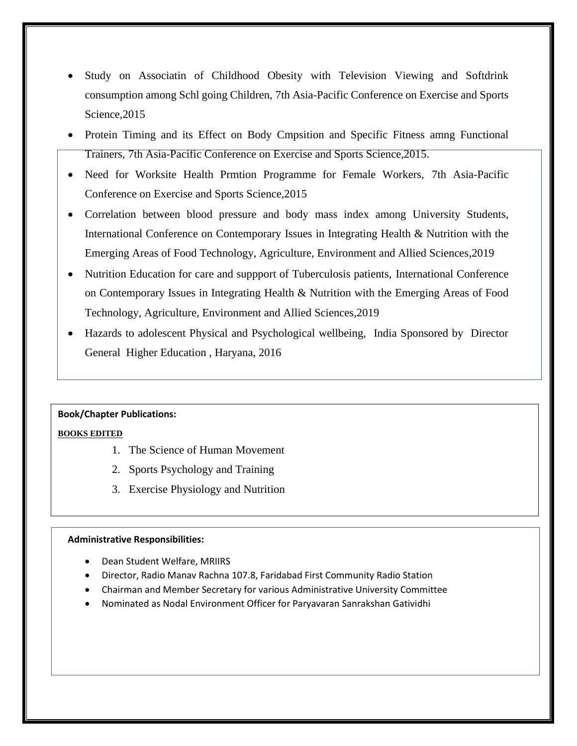- Study on Associatin of Childhood Obesity with Television Viewing and Softdrink consumption among Schl going Children, 7th Asia-Pacific Conference on Exercise and Sports Science,2015
- Protein Timing and its Effect on Body Cmpsition and Specific Fitness amng Functional Trainers, 7th Asia-Pacific Conference on Exercise and Sports Science,2015.
- Need for Worksite Health Prmtion Programme for Female Workers, 7th Asia-Pacific Conference on Exercise and Sports Science,2015
- Correlation between blood pressure and body mass index among University Students, International Conference on Contemporary Issues in Integrating Health & Nutrition with the Emerging Areas of Food Technology, Agriculture, Environment and Allied Sciences,2019
- Nutrition Education for care and suppport of Tuberculosis patients, International Conference on Contemporary Issues in Integrating Health & Nutrition with the Emerging Areas of Food Technology, Agriculture, Environment and Allied Sciences,2019
- Hazards to adolescent Physical and Psychological wellbeing, India Sponsored by Director General Higher Education , Haryana, 2016

# **Book/Chapter Publications:**

#### **BOOKS EDITED**

- 1. The Science of Human Movement
- 2. Sports Psychology and Training
- 3. Exercise Physiology and Nutrition

#### **Administrative Responsibilities:**

- Dean Student Welfare, MRIIRS
- Director, Radio Manav Rachna 107.8, Faridabad First Community Radio Station
- Chairman and Member Secretary for various Administrative University Committee
- Nominated as Nodal Environment Officer for Paryavaran Sanrakshan Gatividhi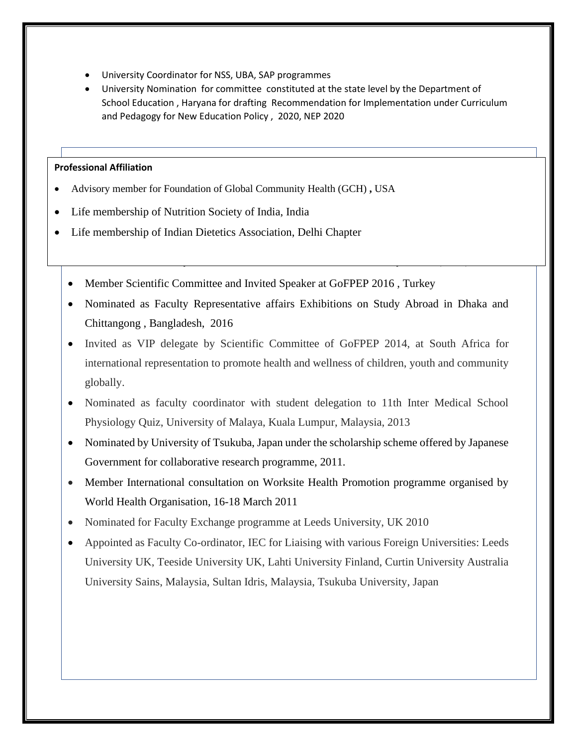- University Coordinator for NSS, UBA, SAP programmes
- University Nomination for committee constituted at the state level by the Department of School Education , Haryana for drafting Recommendation for Implementation under Curriculum and Pedagogy for New Education Policy , 2020, NEP 2020

### **Professional Affiliation**

- Advisory member for Foundation of Global Community Health (GCH) **,** USA
- $\mathbf{v}^{(n)} = \mathbf{v}^{(n)}$  at  $\mathbf{v}^{(n)}$  at  $\mathbf{v}^{(n)}$  at  $\mathbf{v}^{(n)}$   $\mathbf{v}^{(n)}$  at  $\mathbf{v}^{(n)}$ • Life membership of Nutrition Society of India, India
- $\mathbf{v}^{(n)} = \mathbf{v}^{(n)}$  of  $\mathbf{v}^{(n)}$  of students for students for student exchange programme, programme, programme, programme, programme, programme, programme, programme, programme, programme, programme, programme, pro • Life membership of Indian Dietetics Association, Delhi Chapter
	- Member Scientific Committee and Invited Speaker at GoFPEP 2016, Turkey
	- Nominated as Faculty Representative affairs Exhibitions on Study Abroad in Dhaka and Chittangong , Bangladesh, 2016

• Nominated as advisory member for Foundation of Global Community Health (GCH) **,** USA

- Invited as VIP delegate by Scientific Committee of GoFPEP 2014, at South Africa for international representation to promote health and wellness of children, youth and community globally.
- Nominated as faculty coordinator with student delegation to 11th Inter Medical School Physiology Quiz, University of Malaya, Kuala Lumpur, Malaysia, 2013
- Nominated by University of Tsukuba, Japan under the scholarship scheme offered by Japanese Government for collaborative research programme, 2011.
- Member International consultation on Worksite Health Promotion programme organised by World Health Organisation, 16-18 March 2011
- Nominated for Faculty Exchange programme at Leeds University, UK 2010
- Appointed as Faculty Co-ordinator, IEC for Liaising with various Foreign Universities: Leeds University UK, Teeside University UK, Lahti University Finland, Curtin University Australia University Sains, Malaysia, Sultan Idris, Malaysia, Tsukuba University, Japan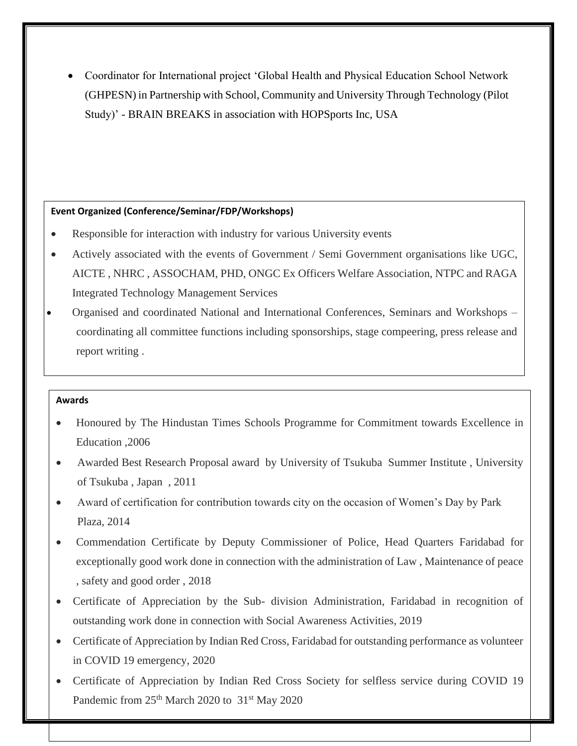• Coordinator for International project 'Global Health and Physical Education School Network (GHPESN) in Partnership with School, Community and University Through Technology (Pilot Study)' - BRAIN BREAKS in association with HOPSports Inc, USA

# **Event Organized (Conference/Seminar/FDP/Workshops)**

- Responsible for interaction with industry for various University events
- Actively associated with the events of Government / Semi Government organisations like UGC, AICTE , NHRC , ASSOCHAM, PHD, ONGC Ex Officers Welfare Association, NTPC and RAGA Integrated Technology Management Services
- Organised and coordinated National and International Conferences, Seminars and Workshops coordinating all committee functions including sponsorships, stage compeering, press release and report writing .

# **Awards**

- Honoured by The Hindustan Times Schools Programme for Commitment towards Excellence in Education ,2006
- Awarded Best Research Proposal award by University of Tsukuba Summer Institute, University of Tsukuba , Japan , 2011
- Award of certification for contribution towards city on the occasion of Women's Day by Park Plaza, 2014
- Commendation Certificate by Deputy Commissioner of Police, Head Quarters Faridabad for exceptionally good work done in connection with the administration of Law , Maintenance of peace , safety and good order , 2018
- Certificate of Appreciation by the Sub- division Administration, Faridabad in recognition of outstanding work done in connection with Social Awareness Activities, 2019
- Certificate of Appreciation by Indian Red Cross, Faridabad for outstanding performance as volunteer in COVID 19 emergency, 2020
- Certificate of Appreciation by Indian Red Cross Society for selfless service during COVID 19 Pandemic from 25<sup>th</sup> March 2020 to 31<sup>st</sup> May 2020